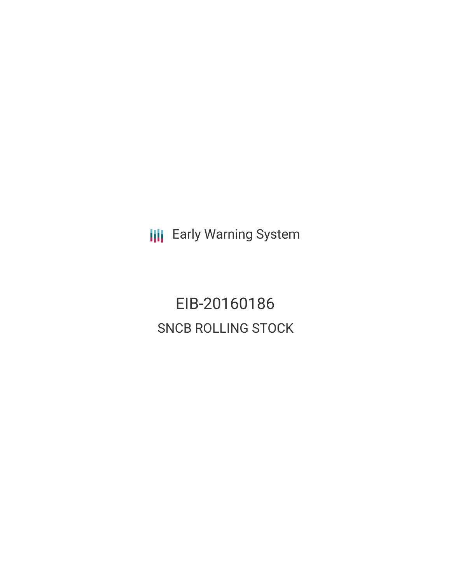**III** Early Warning System

EIB-20160186 SNCB ROLLING STOCK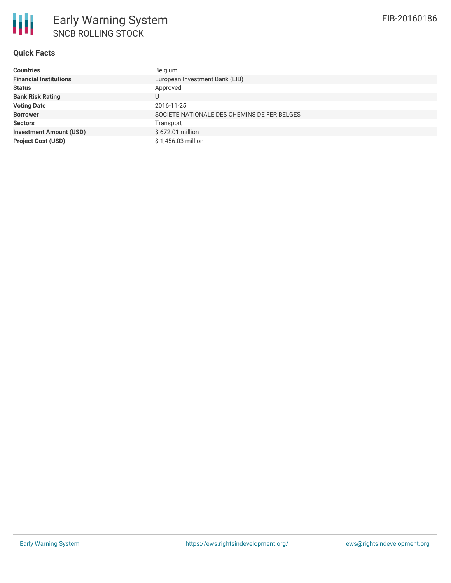

# **Quick Facts**

| <b>Countries</b>               | Belgium                                     |
|--------------------------------|---------------------------------------------|
| <b>Financial Institutions</b>  | European Investment Bank (EIB)              |
| <b>Status</b>                  | Approved                                    |
| <b>Bank Risk Rating</b>        | U                                           |
| <b>Voting Date</b>             | 2016-11-25                                  |
| <b>Borrower</b>                | SOCIETE NATIONALE DES CHEMINS DE FER BELGES |
| <b>Sectors</b>                 | Transport                                   |
| <b>Investment Amount (USD)</b> | \$672.01 million                            |
| <b>Project Cost (USD)</b>      | \$1,456.03 million                          |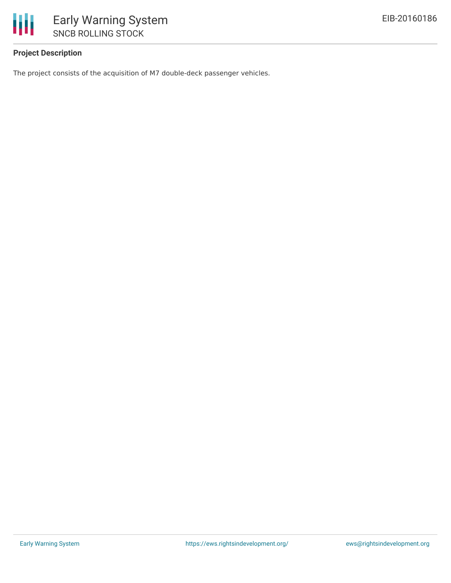

# **Project Description**

The project consists of the acquisition of M7 double-deck passenger vehicles.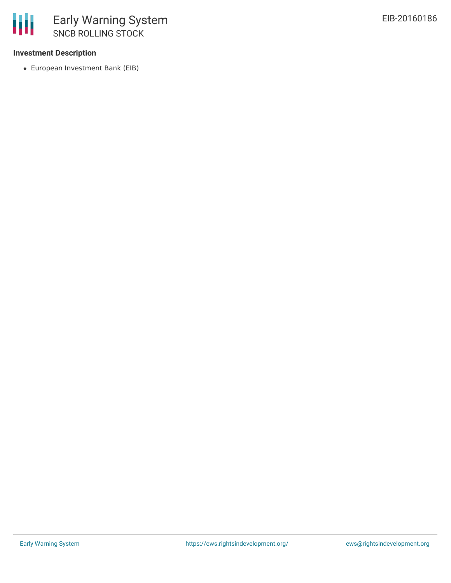## **Investment Description**

European Investment Bank (EIB)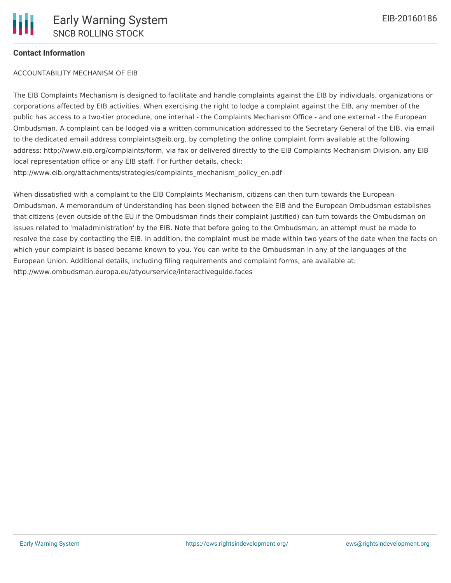## **Contact Information**

#### ACCOUNTABILITY MECHANISM OF EIB

The EIB Complaints Mechanism is designed to facilitate and handle complaints against the EIB by individuals, organizations or corporations affected by EIB activities. When exercising the right to lodge a complaint against the EIB, any member of the public has access to a two-tier procedure, one internal - the Complaints Mechanism Office - and one external - the European Ombudsman. A complaint can be lodged via a written communication addressed to the Secretary General of the EIB, via email to the dedicated email address complaints@eib.org, by completing the online complaint form available at the following address: http://www.eib.org/complaints/form, via fax or delivered directly to the EIB Complaints Mechanism Division, any EIB local representation office or any EIB staff. For further details, check: http://www.eib.org/attachments/strategies/complaints\_mechanism\_policy\_en.pdf

When dissatisfied with a complaint to the EIB Complaints Mechanism, citizens can then turn towards the European Ombudsman. A memorandum of Understanding has been signed between the EIB and the European Ombudsman establishes that citizens (even outside of the EU if the Ombudsman finds their complaint justified) can turn towards the Ombudsman on issues related to 'maladministration' by the EIB. Note that before going to the Ombudsman, an attempt must be made to resolve the case by contacting the EIB. In addition, the complaint must be made within two years of the date when the facts on which your complaint is based became known to you. You can write to the Ombudsman in any of the languages of the European Union. Additional details, including filing requirements and complaint forms, are available at: http://www.ombudsman.europa.eu/atyourservice/interactiveguide.faces